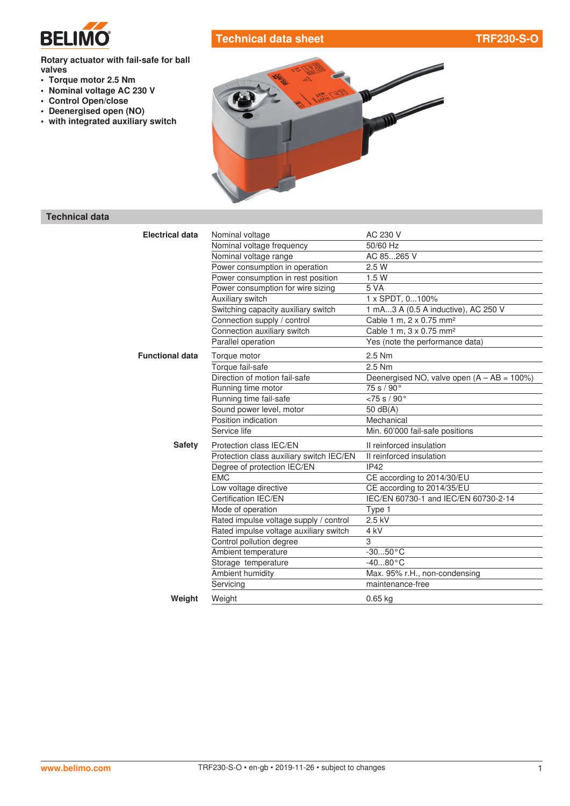

# **Technical data sheet TRF230-S-O**

#### **Rotary actuator with fail-safe for ball valves**

- **• Torque motor 2.5 Nm**
- **• Nominal voltage AC 230 V**
- **• Control Open/close**
- **• Deenergised open (NO)**
- **• with integrated auxiliary switch**



### **Technical data**

| <b>Electrical data</b> | Nominal voltage                          | AC 230 V                                      |
|------------------------|------------------------------------------|-----------------------------------------------|
|                        | Nominal voltage frequency                | 50/60 Hz                                      |
|                        | Nominal voltage range                    | AC 85265 V                                    |
|                        | Power consumption in operation           | 2.5 W                                         |
|                        | Power consumption in rest position       | 1.5W                                          |
|                        | Power consumption for wire sizing        | 5 VA                                          |
|                        | Auxiliary switch                         | 1 x SPDT, 0100%                               |
|                        | Switching capacity auxiliary switch      | 1 mA3 A (0.5 A inductive), AC 250 V           |
|                        | Connection supply / control              | Cable 1 m, 2 x 0.75 mm <sup>2</sup>           |
|                        | Connection auxiliary switch              | Cable 1 m, 3 x 0.75 mm <sup>2</sup>           |
|                        | Parallel operation                       | Yes (note the performance data)               |
| <b>Functional data</b> | Torque motor                             | 2.5 Nm                                        |
|                        | Torque fail-safe                         | 2.5 Nm                                        |
|                        | Direction of motion fail-safe            | Deenergised NO, valve open $(A - AB = 100\%)$ |
|                        | Running time motor                       | 75 s / 90°                                    |
|                        | Running time fail-safe                   | < 75 s / 90°                                  |
|                        | Sound power level, motor                 | 50 $dB(A)$                                    |
|                        | Position indication                      | Mechanical                                    |
|                        | Service life                             | Min. 60'000 fail-safe positions               |
| <b>Safety</b>          | Protection class IEC/EN                  | Il reinforced insulation                      |
|                        | Protection class auxiliary switch IEC/EN | Il reinforced insulation                      |
|                        | Degree of protection IEC/EN              | <b>IP42</b>                                   |
|                        | <b>EMC</b>                               | CE according to 2014/30/EU                    |
|                        | Low voltage directive                    | CE according to 2014/35/EU                    |
|                        | Certification IEC/EN                     | IEC/EN 60730-1 and IEC/EN 60730-2-14          |
|                        | Mode of operation                        | Type 1                                        |
|                        | Rated impulse voltage supply / control   | 2.5 kV                                        |
|                        | Rated impulse voltage auxiliary switch   | 4 <sub>kV</sub>                               |
|                        | Control pollution degree                 | 3                                             |
|                        | Ambient temperature                      | $-3050 °C$                                    |
|                        | Storage temperature                      | $-4080 °C$                                    |
|                        | Ambient humidity                         | Max. 95% r.H., non-condensing                 |
|                        | Servicing                                | maintenance-free                              |
| Weight                 | Weight                                   | $0.65$ kg                                     |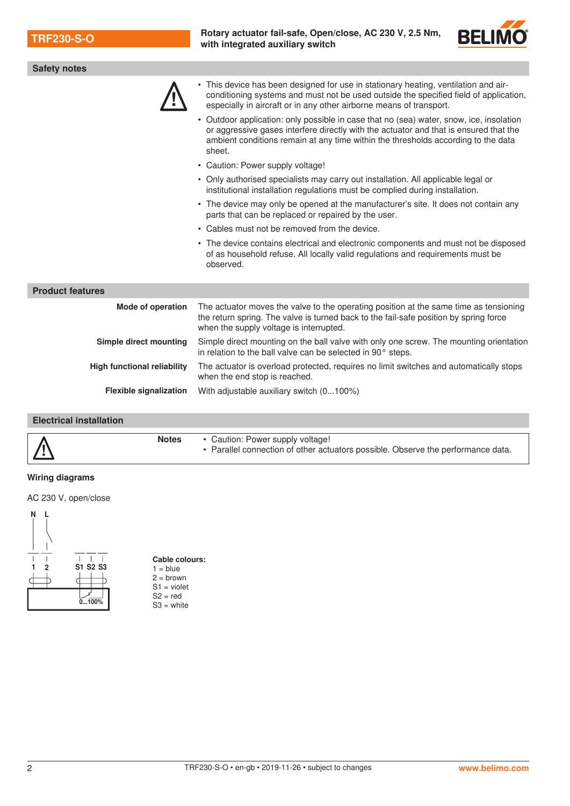**TRF230-S-O Rotary actuator fail-safe, Open/close, AC 230 V, 2.5 Nm, <br>with integrated ouvilians with property and the set of the set of the set of the set of the set of the set of the set of the set of the set of the set with integrated auxiliary switch**



| <b>Safety notes</b>                |                                                                                                                                                                                                                                                                                 |  |  |
|------------------------------------|---------------------------------------------------------------------------------------------------------------------------------------------------------------------------------------------------------------------------------------------------------------------------------|--|--|
|                                    | This device has been designed for use in stationary heating, ventilation and air-<br>conditioning systems and must not be used outside the specified field of application,<br>especially in aircraft or in any other airborne means of transport.                               |  |  |
|                                    | • Outdoor application: only possible in case that no (sea) water, snow, ice, insolation<br>or aggressive gases interfere directly with the actuator and that is ensured that the<br>ambient conditions remain at any time within the thresholds according to the data<br>sheet. |  |  |
|                                    | • Caution: Power supply voltage!                                                                                                                                                                                                                                                |  |  |
|                                    | • Only authorised specialists may carry out installation. All applicable legal or<br>institutional installation regulations must be complied during installation.                                                                                                               |  |  |
|                                    | • The device may only be opened at the manufacturer's site. It does not contain any<br>parts that can be replaced or repaired by the user.                                                                                                                                      |  |  |
|                                    | • Cables must not be removed from the device.                                                                                                                                                                                                                                   |  |  |
|                                    | • The device contains electrical and electronic components and must not be disposed<br>of as household refuse. All locally valid regulations and requirements must be<br>observed.                                                                                              |  |  |
| <b>Product features</b>            |                                                                                                                                                                                                                                                                                 |  |  |
| <b>Mode of operation</b>           | The actuator moves the valve to the operating position at the same time as tensioning<br>the return spring. The valve is turned back to the fail-safe position by spring force<br>when the supply voltage is interrupted.                                                       |  |  |
| Simple direct mounting             | Simple direct mounting on the ball valve with only one screw. The mounting orientation<br>in relation to the ball valve can be selected in 90° steps.                                                                                                                           |  |  |
| <b>High functional reliability</b> | The actuator is overload protected, requires no limit switches and automatically stops<br>when the end stop is reached.                                                                                                                                                         |  |  |
| <b>Flexible signalization</b>      | With adjustable auxiliary switch (0100%)                                                                                                                                                                                                                                        |  |  |
| <b>Electrical installation</b>     |                                                                                                                                                                                                                                                                                 |  |  |

| $\sqrt{1}$ | <b>Notes</b> | • Caution: Power supply voltage!<br>• Parallel connection of other actuators possible. Observe the performance data. |
|------------|--------------|----------------------------------------------------------------------------------------------------------------------|

## **Wiring diagrams**

AC 230 V, open/close



#### **Cable colours:**  $1 = blue$  $2 =$  brown S1 = violet  $S2 = red$  $S3 =$  white